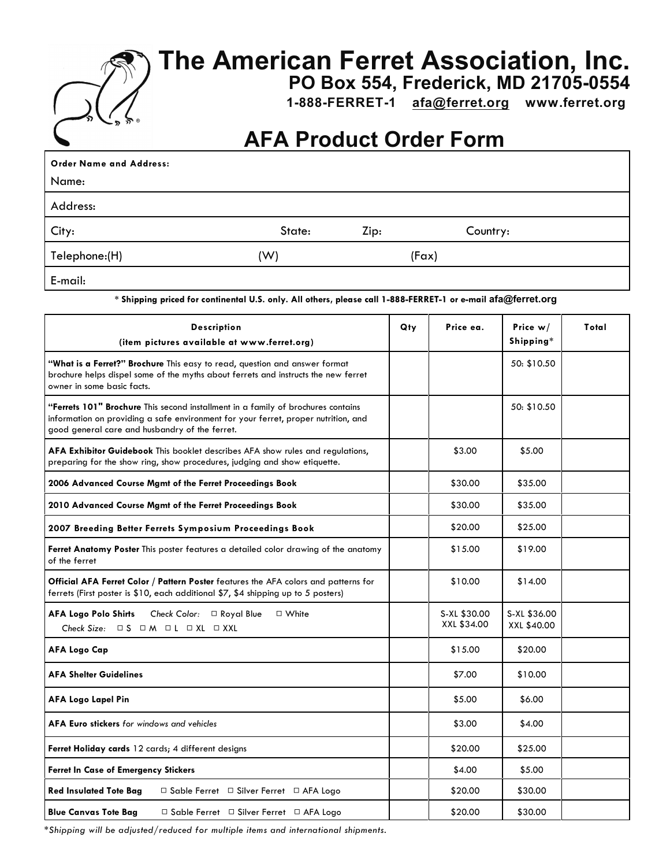

## **The American Ferret Association, Inc.**

**PO Box 554, Frederick, MD 21705-0554**

 **1-888-FERRET-1 [afa@ferret.org](mailto:afa@ferret.org) www.ferret.org** 

## **AFA Product Order Form**

| <b>Order Name and Address:</b> |        |      |       |          |  |
|--------------------------------|--------|------|-------|----------|--|
| Name:                          |        |      |       |          |  |
| Address:                       |        |      |       |          |  |
| City:                          | State: | Zip: |       | Country: |  |
| Telephone:(H)                  | (W)    |      | (Fax) |          |  |
| E-mail:                        |        |      |       |          |  |

**\* Shipping priced for continental U.S. only. All others, please call 1-888-FERRET-1 or e-mail afa@ferret.org**

| Description<br>(item pictures available at www.ferret.org)                                                                                                                                                               |  | Price ea.                   | Price $w/$<br>Shipping*     | Total |
|--------------------------------------------------------------------------------------------------------------------------------------------------------------------------------------------------------------------------|--|-----------------------------|-----------------------------|-------|
| "What is a Ferret?" Brochure This easy to read, question and answer format<br>brochure helps dispel some of the myths about ferrets and instructs the new ferret<br>owner in some basic facts.                           |  |                             | 50: \$10.50                 |       |
| "Ferrets 101" Brochure This second installment in a family of brochures contains<br>information on providing a safe environment for your ferret, proper nutrition, and<br>good general care and husbandry of the ferret. |  |                             | 50: \$10.50                 |       |
| AFA Exhibitor Guidebook This booklet describes AFA show rules and regulations,<br>preparing for the show ring, show procedures, judging and show etiquette.                                                              |  | \$3.00                      | \$5.00                      |       |
| 2006 Advanced Course Mgmt of the Ferret Proceedings Book                                                                                                                                                                 |  | \$30.00                     | \$35.00                     |       |
| 2010 Advanced Course Mgmt of the Ferret Proceedings Book                                                                                                                                                                 |  | \$30.00                     | \$35.00                     |       |
| 2007 Breeding Better Ferrets Symposium Proceedings Book                                                                                                                                                                  |  | \$20.00                     | \$25.00                     |       |
| Ferret Anatomy Poster This poster features a detailed color drawing of the anatomy<br>of the ferret                                                                                                                      |  | \$15.00                     | \$19.00                     |       |
| Official AFA Ferret Color / Pattern Poster features the AFA colors and patterns for<br>ferrets (First poster is \$10, each additional \$7, \$4 shipping up to 5 posters)                                                 |  | \$10.00                     | \$14.00                     |       |
| <b>AFA Logo Polo Shirts</b><br>Check Color: □ Royal Blue □ White<br>Check Size: $\Box$ S $\Box$ M $\Box$ L $\Box$ XL $\Box$ XXL                                                                                          |  | S-XL \$30.00<br>XXL \$34.00 | S-XL \$36.00<br>XXL \$40.00 |       |
| AFA Logo Cap                                                                                                                                                                                                             |  | \$15.00                     | \$20.00                     |       |
| <b>AFA Shelter Guidelines</b>                                                                                                                                                                                            |  | \$7.00                      | \$10.00                     |       |
| <b>AFA Logo Lapel Pin</b>                                                                                                                                                                                                |  | \$5.00                      | \$6.00                      |       |
| <b>AFA Euro stickers</b> for windows and vehicles                                                                                                                                                                        |  | \$3.00                      | \$4.00                      |       |
| Ferret Holiday cards 12 cards; 4 different designs                                                                                                                                                                       |  | \$20.00                     | \$25.00                     |       |
| Ferret In Case of Emergency Stickers                                                                                                                                                                                     |  | \$4.00                      | \$5.00                      |       |
| Red Insulated Tote Bag<br>$\Box$ Sable Ferret $\Box$ Silver Ferret $\Box$ AFA Logo                                                                                                                                       |  | \$20.00                     | \$30.00                     |       |
| <b>Blue Canvas Tote Bag</b><br>□ Sable Ferret □ Silver Ferret □ AFA Logo                                                                                                                                                 |  | \$20.00                     | \$30.00                     |       |

*\*Shipping will be adjusted/reduced for multiple items and international shipments.*